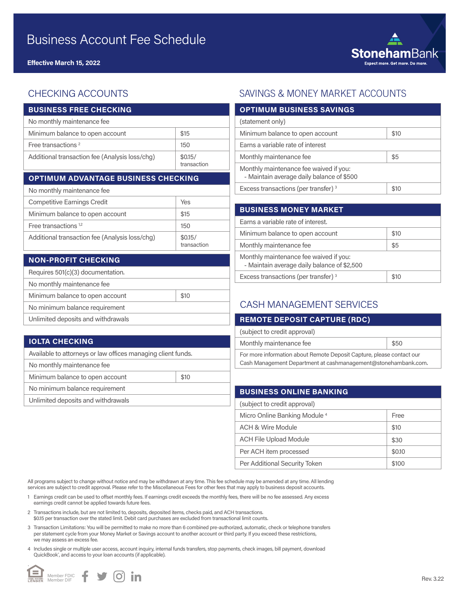

## CHECKING ACCOUNTS

| <b>BUSINESS FREE CHECKING</b>                  |                        |  |
|------------------------------------------------|------------------------|--|
| No monthly maintenance fee                     |                        |  |
| Minimum balance to open account                | \$15                   |  |
| Free transactions <sup>2</sup>                 | 150                    |  |
| Additional transaction fee (Analysis loss/chg) | \$0.15/<br>transaction |  |
| <b>OPTIMUM ADVANTAGE BUSINESS CHECKING</b>     |                        |  |
| No monthly maintenance fee                     |                        |  |
| <b>Competitive Earnings Credit</b>             | Yes                    |  |
| Minimum balance to open account                | \$15                   |  |

| Free transactions $1,2$                        | 150                    |
|------------------------------------------------|------------------------|
| Additional transaction fee (Analysis loss/chq) | \$0.15/<br>transaction |

| <b>NON-PROFIT CHECKING</b>         |      |
|------------------------------------|------|
| Requires 501(c)(3) documentation.  |      |
| No monthly maintenance fee         |      |
| Minimum balance to open account    | \$10 |
| No minimum balance requirement     |      |
| Unlimited deposits and withdrawals |      |

#### **IOLTA CHECKING**

| Available to attorneys or law offices managing client funds. |      |  |
|--------------------------------------------------------------|------|--|
| No monthly maintenance fee                                   |      |  |
| Minimum balance to open account                              | \$10 |  |
| No minimum balance requirement                               |      |  |
| Unlimited deposits and withdrawals                           |      |  |

### SAVINGS & MONEY MARKET ACCOUNTS

| <b>OPTIMUM BUSINESS SAVINGS</b>                                                     |      |
|-------------------------------------------------------------------------------------|------|
| (statement only)                                                                    |      |
| Minimum balance to open account                                                     | \$10 |
| Earns a variable rate of interest                                                   |      |
| Monthly maintenance fee                                                             | \$5  |
| Monthly maintenance fee waived if you:<br>- Maintain average daily balance of \$500 |      |
| Excess transactions (per transfer) <sup>3</sup>                                     | \$10 |

| <b>BUSINESS MONEY MARKET</b>                                                          |      |
|---------------------------------------------------------------------------------------|------|
| Earns a variable rate of interest.                                                    |      |
| Minimum balance to open account                                                       | \$10 |
| Monthly maintenance fee                                                               | \$5  |
| Monthly maintenance fee waived if you:<br>- Maintain average daily balance of \$2,500 |      |
| Excess transactions (per transfer) <sup>3</sup>                                       |      |

#### CASH MANAGEMENT SERVICES

| <b>REMOTE DEPOSIT CAPTURE (RDC)</b>                                                                                                     |      |
|-----------------------------------------------------------------------------------------------------------------------------------------|------|
| (subject to credit approval)                                                                                                            |      |
| Monthly maintenance fee                                                                                                                 | \$50 |
| For more information about Remote Deposit Capture, please contact our<br>Cash Management Department at cashmanagement@stonehambank.com. |      |

| <b>BUSINESS ONLINE BANKING</b>           |        |
|------------------------------------------|--------|
| (subject to credit approval)             |        |
| Micro Online Banking Module <sup>4</sup> | Free   |
| ACH & Wire Module                        | \$10   |
| <b>ACH File Upload Module</b>            | \$30   |
| Per ACH item processed                   | \$0.10 |
| Per Additional Security Token            | \$100  |

All programs subject to change without notice and may be withdrawn at any time. This fee schedule may be amended at any time. All lending services are subject to credit approval. Please refer to the Miscellaneous Fees for other fees that may apply to business deposit accounts.

- 1 Earnings credit can be used to offset monthly fees. If earnings credit exceeds the monthly fees, there will be no fee assessed. Any excess earnings credit cannot be applied towards future fees.
- 2 Transactions include, but are not limited to, deposits, deposited items, checks paid, and ACH transactions. \$0.15 per transaction over the stated limit. Debit card purchases are excluded from transactional limit counts.
- 3 Transaction Limitations: You will be permitted to make no more than 6 combined pre-authorized, automatic, check or telephone transfers per statement cycle from your Money Market or Savings account to another account or third party. If you exceed these restrictions, we may assess an excess fee.
- 4 Includes single or multiple user access, account inquiry, internal funds transfers, stop payments, check images, bill payment, download QuickBook<sup>\*</sup>, and access to your loan accounts (if applicable).